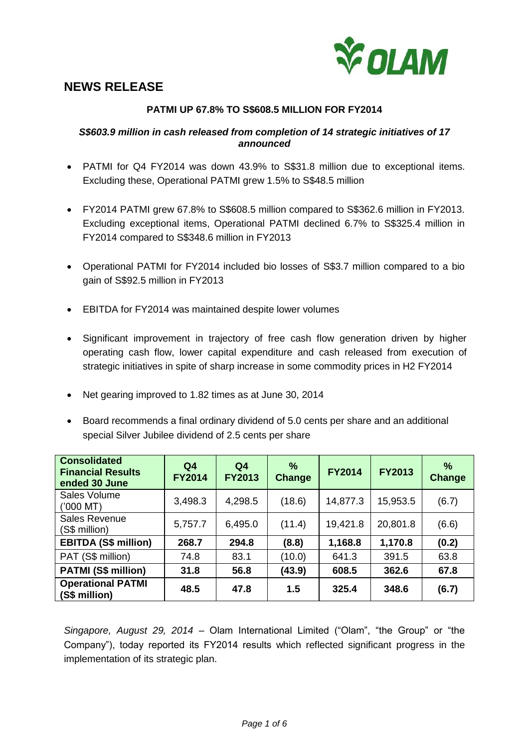

# **NEWS RELEASE**

# **PATMI UP 67.8% TO S\$608.5 MILLION FOR FY2014**

## *S\$603.9 million in cash released from completion of 14 strategic initiatives of 17 announced*

- PATMI for Q4 FY2014 was down 43.9% to S\$31.8 million due to exceptional items. Excluding these, Operational PATMI grew 1.5% to S\$48.5 million
- FY2014 PATMI grew 67.8% to S\$608.5 million compared to S\$362.6 million in FY2013. Excluding exceptional items, Operational PATMI declined 6.7% to S\$325.4 million in FY2014 compared to S\$348.6 million in FY2013
- Operational PATMI for FY2014 included bio losses of S\$3.7 million compared to a bio gain of S\$92.5 million in FY2013
- EBITDA for FY2014 was maintained despite lower volumes
- Significant improvement in trajectory of free cash flow generation driven by higher operating cash flow, lower capital expenditure and cash released from execution of strategic initiatives in spite of sharp increase in some commodity prices in H2 FY2014
- Net gearing improved to 1.82 times as at June 30, 2014
- Board recommends a final ordinary dividend of 5.0 cents per share and an additional special Silver Jubilee dividend of 2.5 cents per share

| <b>Consolidated</b><br><b>Financial Results</b><br>ended 30 June | Q <sub>4</sub><br><b>FY2014</b> | Q <sub>4</sub><br><b>FY2013</b> | $\frac{9}{6}$<br>Change | <b>FY2014</b> | <b>FY2013</b> | $\frac{9}{6}$<br>Change |
|------------------------------------------------------------------|---------------------------------|---------------------------------|-------------------------|---------------|---------------|-------------------------|
| Sales Volume<br>$(7000 \, \text{MT})$                            | 3,498.3                         | 4,298.5                         | (18.6)                  | 14,877.3      | 15,953.5      | (6.7)                   |
| <b>Sales Revenue</b><br>(S\$ million)                            | 5,757.7                         | 6,495.0                         | (11.4)                  | 19,421.8      | 20,801.8      | (6.6)                   |
| <b>EBITDA (S\$ million)</b>                                      | 268.7                           | 294.8                           | (8.8)                   | 1,168.8       | 1,170.8       | (0.2)                   |
| PAT (S\$ million)                                                | 74.8                            | 83.1                            | (10.0)                  | 641.3         | 391.5         | 63.8                    |
| <b>PATMI (S\$ million)</b>                                       | 31.8                            | 56.8                            | (43.9)                  | 608.5         | 362.6         | 67.8                    |
| <b>Operational PATMI</b><br>(S\$ million)                        | 48.5                            | 47.8                            | 1.5                     | 325.4         | 348.6         | (6.7)                   |

*Singapore, August 29, 2014 –* Olam International Limited ("Olam", "the Group" or "the Company"), today reported its FY2014 results which reflected significant progress in the implementation of its strategic plan.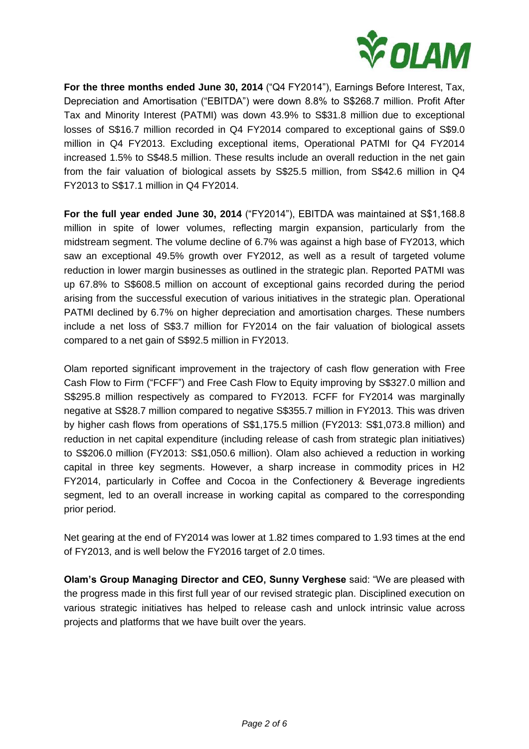

**For the three months ended June 30, 2014** ("Q4 FY2014"), Earnings Before Interest, Tax, Depreciation and Amortisation ("EBITDA") were down 8.8% to S\$268.7 million. Profit After Tax and Minority Interest (PATMI) was down 43.9% to S\$31.8 million due to exceptional losses of S\$16.7 million recorded in Q4 FY2014 compared to exceptional gains of S\$9.0 million in Q4 FY2013. Excluding exceptional items, Operational PATMI for Q4 FY2014 increased 1.5% to S\$48.5 million. These results include an overall reduction in the net gain from the fair valuation of biological assets by S\$25.5 million, from S\$42.6 million in Q4 FY2013 to S\$17.1 million in Q4 FY2014.

**For the full year ended June 30, 2014** ("FY2014"), EBITDA was maintained at S\$1,168.8 million in spite of lower volumes, reflecting margin expansion, particularly from the midstream segment. The volume decline of 6.7% was against a high base of FY2013, which saw an exceptional 49.5% growth over FY2012, as well as a result of targeted volume reduction in lower margin businesses as outlined in the strategic plan. Reported PATMI was up 67.8% to S\$608.5 million on account of exceptional gains recorded during the period arising from the successful execution of various initiatives in the strategic plan. Operational PATMI declined by 6.7% on higher depreciation and amortisation charges. These numbers include a net loss of S\$3.7 million for FY2014 on the fair valuation of biological assets compared to a net gain of S\$92.5 million in FY2013.

Olam reported significant improvement in the trajectory of cash flow generation with Free Cash Flow to Firm ("FCFF") and Free Cash Flow to Equity improving by S\$327.0 million and S\$295.8 million respectively as compared to FY2013. FCFF for FY2014 was marginally negative at S\$28.7 million compared to negative S\$355.7 million in FY2013. This was driven by higher cash flows from operations of S\$1,175.5 million (FY2013: S\$1,073.8 million) and reduction in net capital expenditure (including release of cash from strategic plan initiatives) to S\$206.0 million (FY2013: S\$1,050.6 million). Olam also achieved a reduction in working capital in three key segments. However, a sharp increase in commodity prices in H2 FY2014, particularly in Coffee and Cocoa in the Confectionery & Beverage ingredients segment, led to an overall increase in working capital as compared to the corresponding prior period.

Net gearing at the end of FY2014 was lower at 1.82 times compared to 1.93 times at the end of FY2013, and is well below the FY2016 target of 2.0 times.

**Olam's Group Managing Director and CEO, Sunny Verghese** said: "We are pleased with the progress made in this first full year of our revised strategic plan. Disciplined execution on various strategic initiatives has helped to release cash and unlock intrinsic value across projects and platforms that we have built over the years.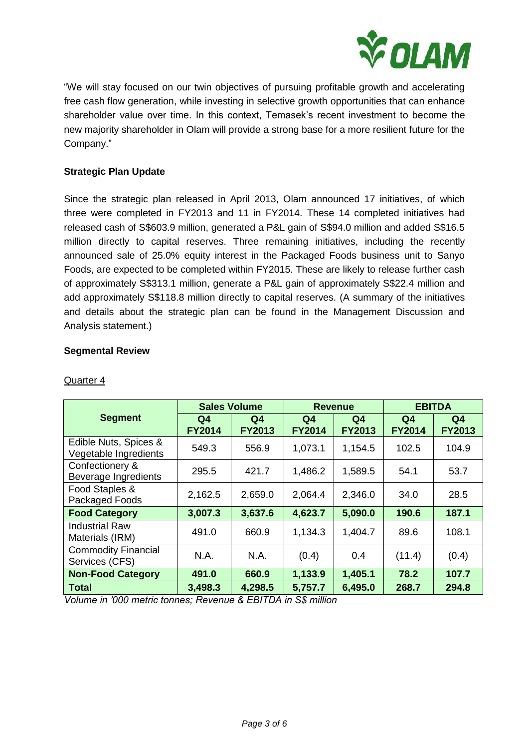

"We will stay focused on our twin objectives of pursuing profitable growth and accelerating free cash flow generation, while investing in selective growth opportunities that can enhance shareholder value over time. In this context, Temasek's recent investment to become the new majority shareholder in Olam will provide a strong base for a more resilient future for the Company."

# **Strategic Plan Update**

Since the strategic plan released in April 2013, Olam announced 17 initiatives, of which three were completed in FY2013 and 11 in FY2014. These 14 completed initiatives had released cash of S\$603.9 million, generated a P&L gain of S\$94.0 million and added S\$16.5 million directly to capital reserves. Three remaining initiatives, including the recently announced sale of 25.0% equity interest in the Packaged Foods business unit to Sanyo Foods, are expected to be completed within FY2015. These are likely to release further cash of approximately S\$313.1 million, generate a P&L gain of approximately S\$22.4 million and add approximately S\$118.8 million directly to capital reserves. (A summary of the initiatives and details about the strategic plan can be found in the Management Discussion and Analysis statement.)

## **Segmental Review**

|                                                | <b>Sales Volume</b>             |                     | <b>Revenue</b>      |                     | <b>EBITDA</b>                   |                                 |
|------------------------------------------------|---------------------------------|---------------------|---------------------|---------------------|---------------------------------|---------------------------------|
| <b>Segment</b>                                 | Q <sub>4</sub><br><b>FY2014</b> | Q4<br><b>FY2013</b> | Q4<br><b>FY2014</b> | Q4<br><b>FY2013</b> | Q <sub>4</sub><br><b>FY2014</b> | Q <sub>4</sub><br><b>FY2013</b> |
| Edible Nuts, Spices &<br>Vegetable Ingredients | 549.3                           | 556.9               | 1,073.1             | 1,154.5             | 102.5                           | 104.9                           |
| Confectionery &<br>Beverage Ingredients        | 295.5                           | 421.7               | 1,486.2             | 1,589.5             | 54.1                            | 53.7                            |
| Food Staples &<br>Packaged Foods               | 2,162.5                         | 2,659.0             | 2,064.4             | 2,346.0             | 34.0                            | 28.5                            |
| <b>Food Category</b>                           | 3,007.3                         | 3,637.6             | 4,623.7             | 5,090.0             | 190.6                           | 187.1                           |
| <b>Industrial Raw</b><br>Materials (IRM)       | 491.0                           | 660.9               | 1,134.3             | 1,404.7             | 89.6                            | 108.1                           |
| <b>Commodity Financial</b><br>Services (CFS)   | N.A.                            | N.A.                | (0.4)               | 0.4                 | (11.4)                          | (0.4)                           |
| <b>Non-Food Category</b>                       | 491.0                           | 660.9               | 1,133.9             | 1,405.1             | 78.2                            | 107.7                           |
| <b>Total</b>                                   | 3,498.3                         | 4,298.5             | 5,757.7             | 6,495.0             | 268.7                           | 294.8                           |

## Quarter 4

*Volume in '000 metric tonnes; Revenue & EBITDA in S\$ million*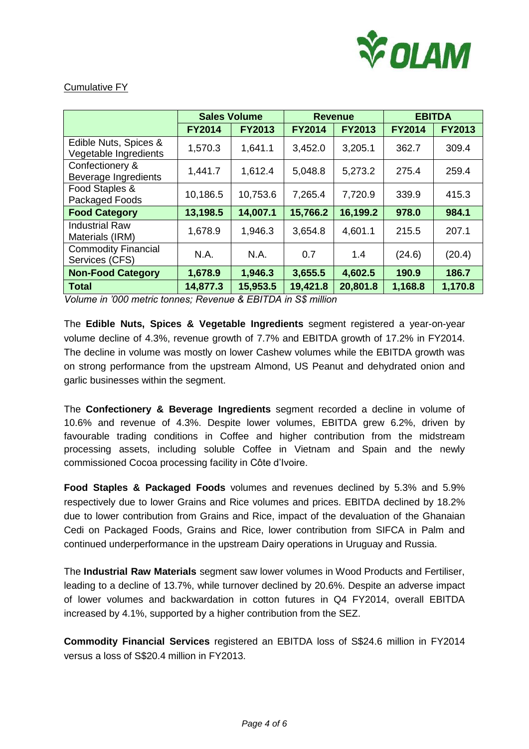

## Cumulative FY

|                                                | <b>Sales Volume</b> |               | <b>Revenue</b> |               | <b>EBITDA</b> |               |
|------------------------------------------------|---------------------|---------------|----------------|---------------|---------------|---------------|
|                                                | <b>FY2014</b>       | <b>FY2013</b> | <b>FY2014</b>  | <b>FY2013</b> | <b>FY2014</b> | <b>FY2013</b> |
| Edible Nuts, Spices &<br>Vegetable Ingredients | 1,570.3             | 1,641.1       | 3,452.0        | 3,205.1       | 362.7         | 309.4         |
| Confectionery &<br>Beverage Ingredients        | 1,441.7             | 1,612.4       | 5,048.8        | 5,273.2       | 275.4         | 259.4         |
| Food Staples &<br>Packaged Foods               | 10,186.5            | 10,753.6      | 7,265.4        | 7,720.9       | 339.9         | 415.3         |
| <b>Food Category</b>                           | 13,198.5            | 14,007.1      | 15,766.2       | 16,199.2      | 978.0         | 984.1         |
| <b>Industrial Raw</b><br>Materials (IRM)       | 1,678.9             | 1,946.3       | 3,654.8        | 4,601.1       | 215.5         | 207.1         |
| <b>Commodity Financial</b><br>Services (CFS)   | N.A.                | N.A.          | 0.7            | 1.4           | (24.6)        | (20.4)        |
| <b>Non-Food Category</b>                       | 1,678.9             | 1,946.3       | 3,655.5        | 4,602.5       | 190.9         | 186.7         |
| <b>Total</b>                                   | 14,877.3            | 15,953.5      | 19,421.8       | 20,801.8      | 1,168.8       | 1,170.8       |

*Volume in '000 metric tonnes; Revenue & EBITDA in S\$ million*

The **Edible Nuts, Spices & Vegetable Ingredients** segment registered a year-on-year volume decline of 4.3%, revenue growth of 7.7% and EBITDA growth of 17.2% in FY2014. The decline in volume was mostly on lower Cashew volumes while the EBITDA growth was on strong performance from the upstream Almond, US Peanut and dehydrated onion and garlic businesses within the segment.

The **Confectionery & Beverage Ingredients** segment recorded a decline in volume of 10.6% and revenue of 4.3%. Despite lower volumes, EBITDA grew 6.2%, driven by favourable trading conditions in Coffee and higher contribution from the midstream processing assets, including soluble Coffee in Vietnam and Spain and the newly commissioned Cocoa processing facility in Côte d'Ivoire.

**Food Staples & Packaged Foods** volumes and revenues declined by 5.3% and 5.9% respectively due to lower Grains and Rice volumes and prices. EBITDA declined by 18.2% due to lower contribution from Grains and Rice, impact of the devaluation of the Ghanaian Cedi on Packaged Foods, Grains and Rice, lower contribution from SIFCA in Palm and continued underperformance in the upstream Dairy operations in Uruguay and Russia.

The **Industrial Raw Materials** segment saw lower volumes in Wood Products and Fertiliser, leading to a decline of 13.7%, while turnover declined by 20.6%. Despite an adverse impact of lower volumes and backwardation in cotton futures in Q4 FY2014, overall EBITDA increased by 4.1%, supported by a higher contribution from the SEZ.

**Commodity Financial Services** registered an EBITDA loss of S\$24.6 million in FY2014 versus a loss of S\$20.4 million in FY2013.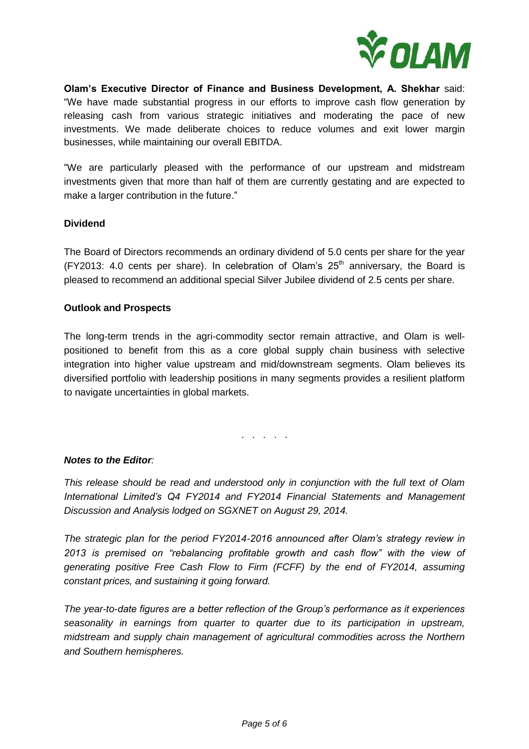

**Olam's Executive Director of Finance and Business Development, A. Shekhar** said: "We have made substantial progress in our efforts to improve cash flow generation by releasing cash from various strategic initiatives and moderating the pace of new investments. We made deliberate choices to reduce volumes and exit lower margin businesses, while maintaining our overall EBITDA.

"We are particularly pleased with the performance of our upstream and midstream investments given that more than half of them are currently gestating and are expected to make a larger contribution in the future."

## **Dividend**

The Board of Directors recommends an ordinary dividend of 5.0 cents per share for the year (FY2013: 4.0 cents per share). In celebration of Olam's  $25<sup>th</sup>$  anniversary, the Board is pleased to recommend an additional special Silver Jubilee dividend of 2.5 cents per share.

## **Outlook and Prospects**

The long-term trends in the agri-commodity sector remain attractive, and Olam is wellpositioned to benefit from this as a core global supply chain business with selective integration into higher value upstream and mid/downstream segments. Olam believes its diversified portfolio with leadership positions in many segments provides a resilient platform to navigate uncertainties in global markets.

. . . . .

## *Notes to the Editor:*

*This release should be read and understood only in conjunction with the full text of Olam International Limited's Q4 FY2014 and FY2014 Financial Statements and Management Discussion and Analysis lodged on SGXNET on August 29, 2014.* 

*The strategic plan for the period FY2014-2016 announced after Olam's strategy review in 2013 is premised on "rebalancing profitable growth and cash flow" with the view of generating positive Free Cash Flow to Firm (FCFF) by the end of FY2014, assuming constant prices, and sustaining it going forward.* 

*The year-to-date figures are a better reflection of the Group's performance as it experiences seasonality in earnings from quarter to quarter due to its participation in upstream, midstream and supply chain management of agricultural commodities across the Northern and Southern hemispheres.*